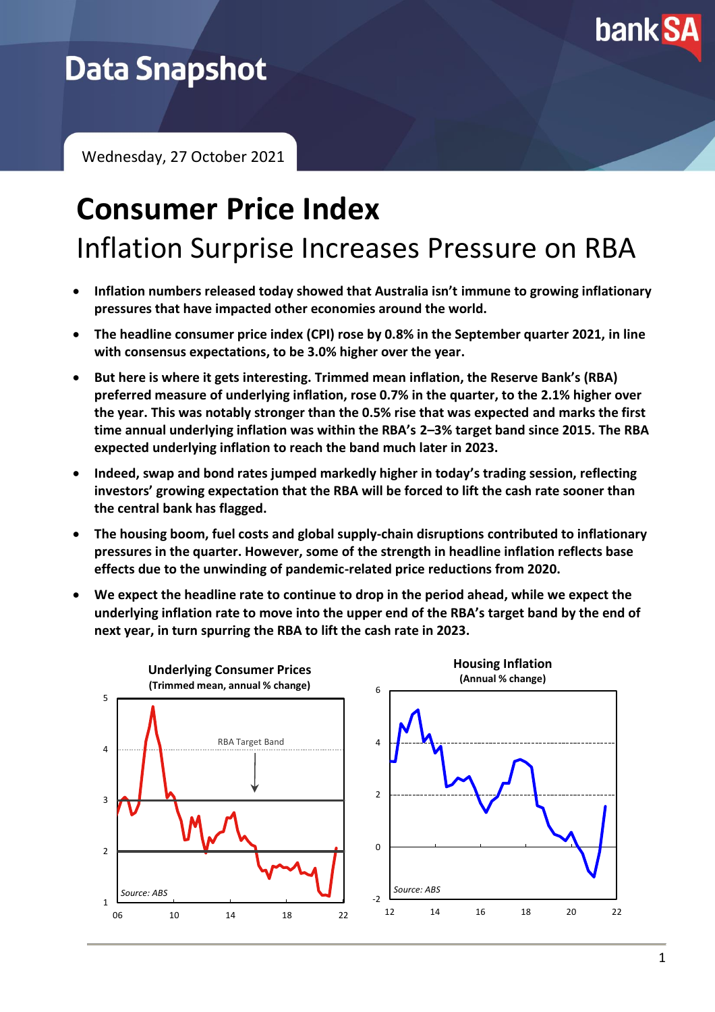

# **Data Snapshot**

Wednesday, 27 October 2021

# **Consumer Price Index** Inflation Surprise Increases Pressure on RBA

- **Inflation numbers released today showed that Australia isn't immune to growing inflationary pressures that have impacted other economies around the world.**
- **The headline consumer price index (CPI) rose by 0.8% in the September quarter 2021, in line with consensus expectations, to be 3.0% higher over the year.**
- **But here is where it gets interesting. Trimmed mean inflation, the Reserve Bank's (RBA) preferred measure of underlying inflation, rose 0.7% in the quarter, to the 2.1% higher over the year. This was notably stronger than the 0.5% rise that was expected and marks the first time annual underlying inflation was within the RBA's 2–3% target band since 2015. The RBA expected underlying inflation to reach the band much later in 2023.**
- **Indeed, swap and bond rates jumped markedly higher in today's trading session, reflecting investors' growing expectation that the RBA will be forced to lift the cash rate sooner than the central bank has flagged.**
- **The housing boom, fuel costs and global supply-chain disruptions contributed to inflationary pressures in the quarter. However, some of the strength in headline inflation reflects base effects due to the unwinding of pandemic-related price reductions from 2020.**
- **We expect the headline rate to continue to drop in the period ahead, while we expect the underlying inflation rate to move into the upper end of the RBA's target band by the end of next year, in turn spurring the RBA to lift the cash rate in 2023.**

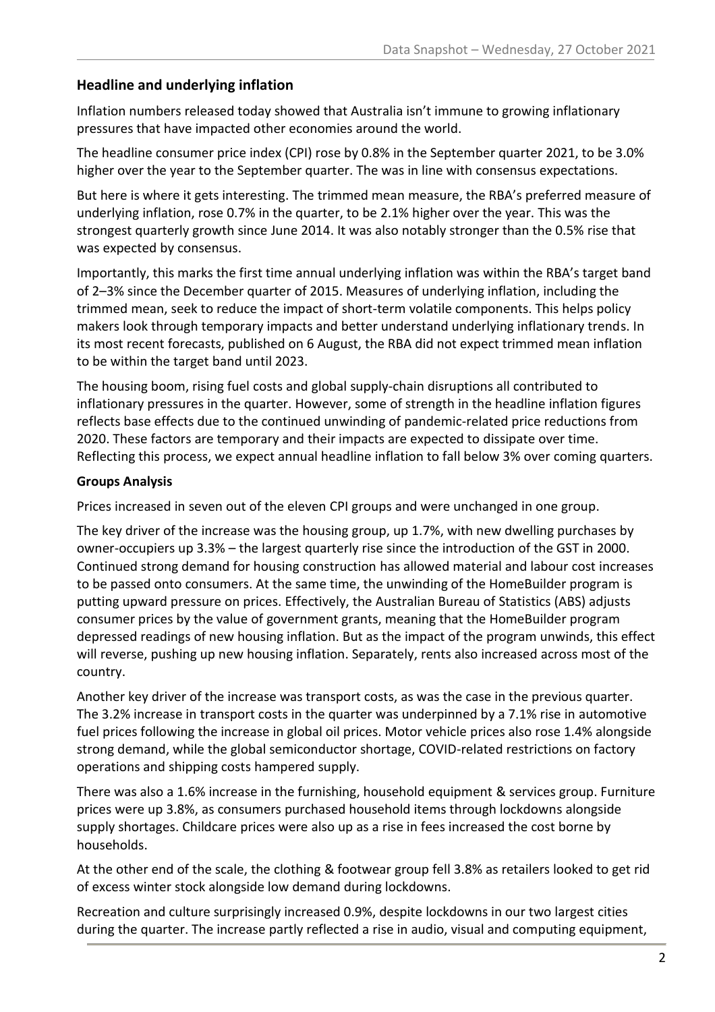## **Headline and underlying inflation**

Inflation numbers released today showed that Australia isn't immune to growing inflationary pressures that have impacted other economies around the world.

The headline consumer price index (CPI) rose by 0.8% in the September quarter 2021, to be 3.0% higher over the year to the September quarter. The was in line with consensus expectations.

But here is where it gets interesting. The trimmed mean measure, the RBA's preferred measure of underlying inflation, rose 0.7% in the quarter, to be 2.1% higher over the year. This was the strongest quarterly growth since June 2014. It was also notably stronger than the 0.5% rise that was expected by consensus.

Importantly, this marks the first time annual underlying inflation was within the RBA's target band of 2–3% since the December quarter of 2015. Measures of underlying inflation, including the trimmed mean, seek to reduce the impact of short-term volatile components. This helps policy makers look through temporary impacts and better understand underlying inflationary trends. In its most recent forecasts, published on 6 August, the RBA did not expect trimmed mean inflation to be within the target band until 2023.

The housing boom, rising fuel costs and global supply-chain disruptions all contributed to inflationary pressures in the quarter. However, some of strength in the headline inflation figures reflects base effects due to the continued unwinding of pandemic-related price reductions from 2020. These factors are temporary and their impacts are expected to dissipate over time. Reflecting this process, we expect annual headline inflation to fall below 3% over coming quarters.

### **Groups Analysis**

Prices increased in seven out of the eleven CPI groups and were unchanged in one group.

The key driver of the increase was the housing group, up 1.7%, with new dwelling purchases by owner-occupiers up 3.3% – the largest quarterly rise since the introduction of the GST in 2000. Continued strong demand for housing construction has allowed material and labour cost increases to be passed onto consumers. At the same time, the unwinding of the HomeBuilder program is putting upward pressure on prices. Effectively, the Australian Bureau of Statistics (ABS) adjusts consumer prices by the value of government grants, meaning that the HomeBuilder program depressed readings of new housing inflation. But as the impact of the program unwinds, this effect will reverse, pushing up new housing inflation. Separately, rents also increased across most of the country.

Another key driver of the increase was transport costs, as was the case in the previous quarter. The 3.2% increase in transport costs in the quarter was underpinned by a 7.1% rise in automotive fuel prices following the increase in global oil prices. Motor vehicle prices also rose 1.4% alongside strong demand, while the global semiconductor shortage, COVID-related restrictions on factory operations and shipping costs hampered supply.

There was also a 1.6% increase in the furnishing, household equipment & services group. Furniture prices were up 3.8%, as consumers purchased household items through lockdowns alongside supply shortages. Childcare prices were also up as a rise in fees increased the cost borne by households.

At the other end of the scale, the clothing & footwear group fell 3.8% as retailers looked to get rid of excess winter stock alongside low demand during lockdowns.

Recreation and culture surprisingly increased 0.9%, despite lockdowns in our two largest cities during the quarter. The increase partly reflected a rise in audio, visual and computing equipment,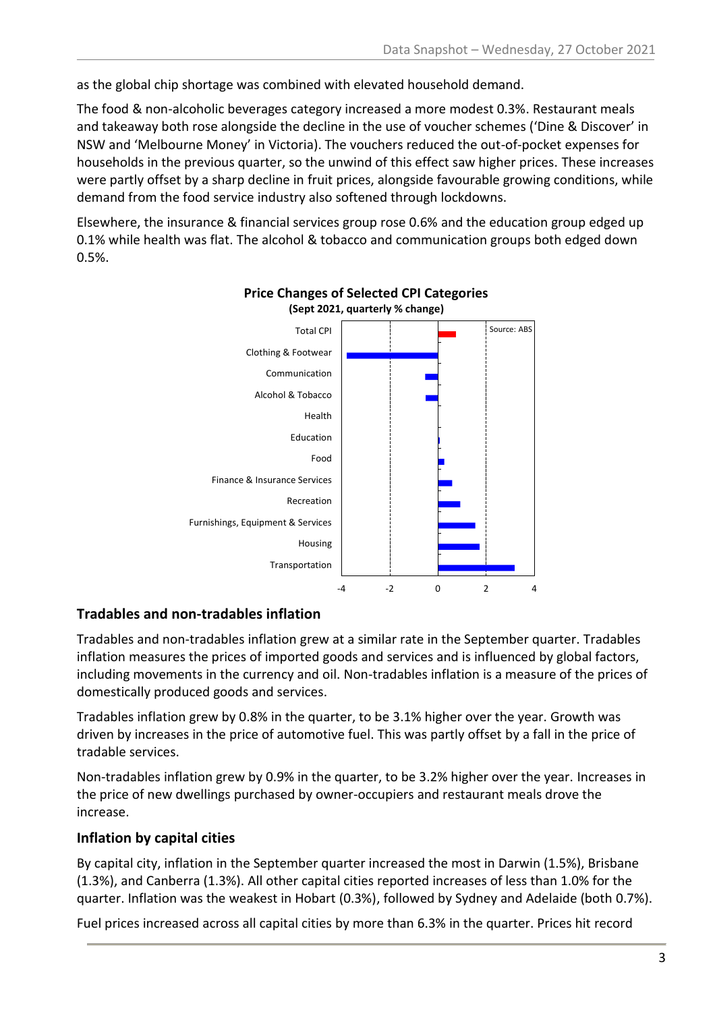as the global chip shortage was combined with elevated household demand.

The food & non-alcoholic beverages category increased a more modest 0.3%. Restaurant meals and takeaway both rose alongside the decline in the use of voucher schemes ('Dine & Discover' in NSW and 'Melbourne Money' in Victoria). The vouchers reduced the out-of-pocket expenses for households in the previous quarter, so the unwind of this effect saw higher prices. These increases were partly offset by a sharp decline in fruit prices, alongside favourable growing conditions, while demand from the food service industry also softened through lockdowns.

Elsewhere, the insurance & financial services group rose 0.6% and the education group edged up 0.1% while health was flat. The alcohol & tobacco and communication groups both edged down 0.5%.



#### **Price Changes of Selected CPI Categories (Sept 2021, quarterly % change)**

## **Tradables and non-tradables inflation**

Tradables and non-tradables inflation grew at a similar rate in the September quarter. Tradables inflation measures the prices of imported goods and services and is influenced by global factors, including movements in the currency and oil. Non-tradables inflation is a measure of the prices of domestically produced goods and services.

Tradables inflation grew by 0.8% in the quarter, to be 3.1% higher over the year. Growth was driven by increases in the price of automotive fuel. This was partly offset by a fall in the price of tradable services.

Non-tradables inflation grew by 0.9% in the quarter, to be 3.2% higher over the year. Increases in the price of new dwellings purchased by owner-occupiers and restaurant meals drove the increase.

## **Inflation by capital cities**

By capital city, inflation in the September quarter increased the most in Darwin (1.5%), Brisbane (1.3%), and Canberra (1.3%). All other capital cities reported increases of less than 1.0% for the quarter. Inflation was the weakest in Hobart (0.3%), followed by Sydney and Adelaide (both 0.7%).

Fuel prices increased across all capital cities by more than 6.3% in the quarter. Prices hit record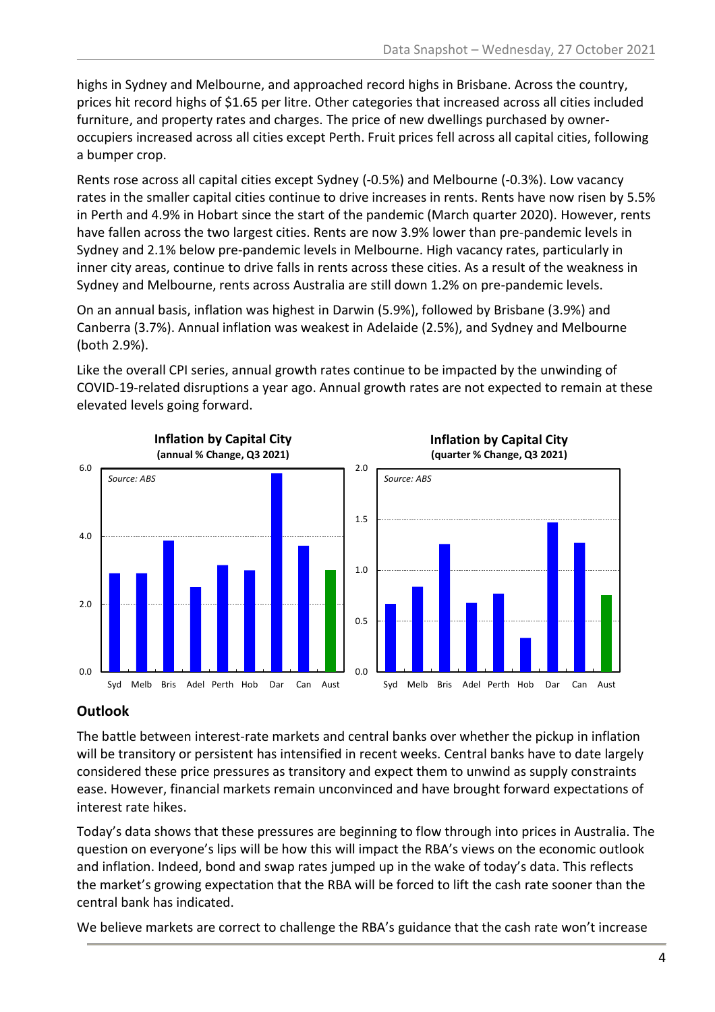highs in Sydney and Melbourne, and approached record highs in Brisbane. Across the country, prices hit record highs of \$1.65 per litre. Other categories that increased across all cities included furniture, and property rates and charges. The price of new dwellings purchased by owneroccupiers increased across all cities except Perth. Fruit prices fell across all capital cities, following a bumper crop.

Rents rose across all capital cities except Sydney (-0.5%) and Melbourne (-0.3%). Low vacancy rates in the smaller capital cities continue to drive increases in rents. Rents have now risen by 5.5% in Perth and 4.9% in Hobart since the start of the pandemic (March quarter 2020). However, rents have fallen across the two largest cities. Rents are now 3.9% lower than pre-pandemic levels in Sydney and 2.1% below pre-pandemic levels in Melbourne. High vacancy rates, particularly in inner city areas, continue to drive falls in rents across these cities. As a result of the weakness in Sydney and Melbourne, rents across Australia are still down 1.2% on pre-pandemic levels.

On an annual basis, inflation was highest in Darwin (5.9%), followed by Brisbane (3.9%) and Canberra (3.7%). Annual inflation was weakest in Adelaide (2.5%), and Sydney and Melbourne (both 2.9%).

Like the overall CPI series, annual growth rates continue to be impacted by the unwinding of COVID-19-related disruptions a year ago. Annual growth rates are not expected to remain at these elevated levels going forward.



# **Outlook**

The battle between interest-rate markets and central banks over whether the pickup in inflation will be transitory or persistent has intensified in recent weeks. Central banks have to date largely considered these price pressures as transitory and expect them to unwind as supply constraints ease. However, financial markets remain unconvinced and have brought forward expectations of interest rate hikes.

Today's data shows that these pressures are beginning to flow through into prices in Australia. The question on everyone's lips will be how this will impact the RBA's views on the economic outlook and inflation. Indeed, bond and swap rates jumped up in the wake of today's data. This reflects the market's growing expectation that the RBA will be forced to lift the cash rate sooner than the central bank has indicated.

We believe markets are correct to challenge the RBA's guidance that the cash rate won't increase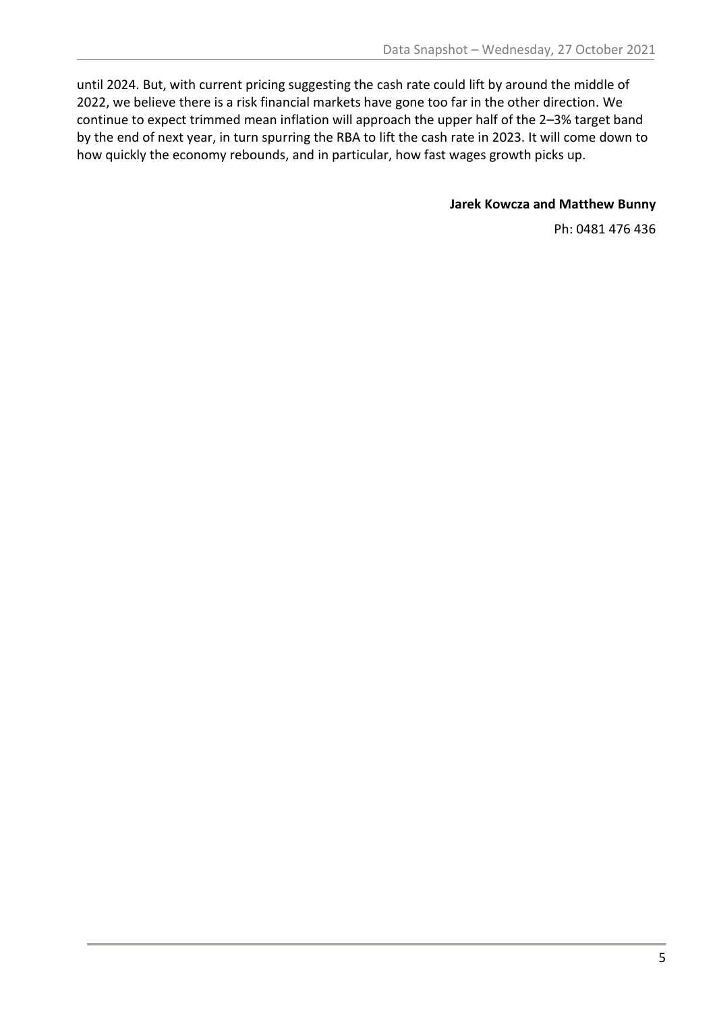until 2024. But, with current pricing suggesting the cash rate could lift by around the middle of 2022, we believe there is a risk financial markets have gone too far in the other direction. We continue to expect trimmed mean inflation will approach the upper half of the 2–3% target band by the end of next year, in turn spurring the RBA to lift the cash rate in 2023. It will come down to how quickly the economy rebounds, and in particular, how fast wages growth picks up.

#### **Jarek Kowcza and Matthew Bunny**

Ph: 0481 476 436